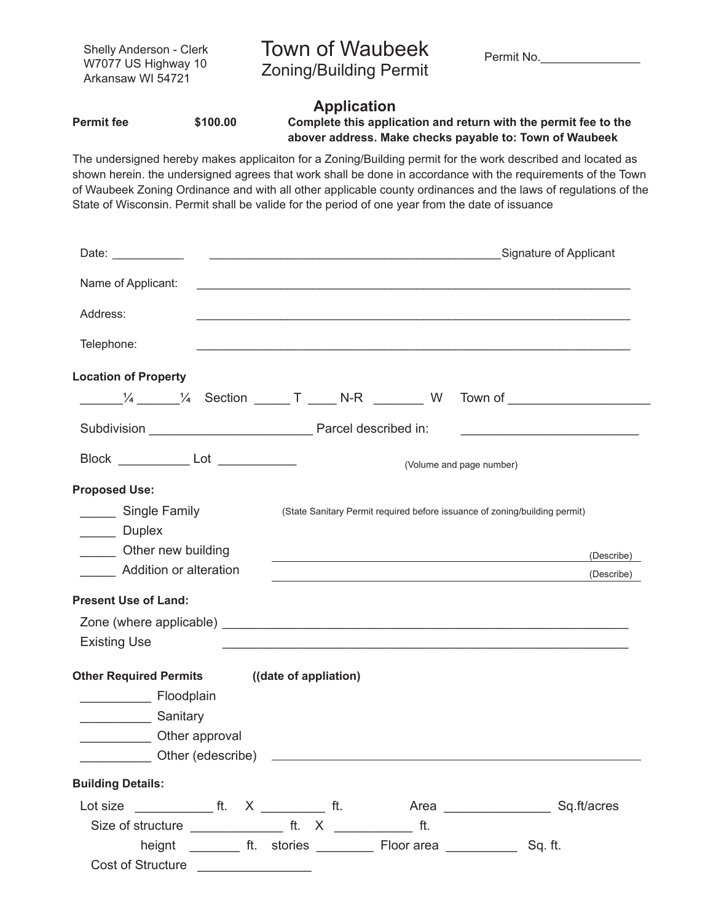| Shelly Anderson - Clerk<br>W7077 US Highway 10<br>Arkansaw WI 54721 |          | Town of Waubeek<br><b>Zoning/Building Permit</b>                                                                                                                                                                            | Permit No.                                                      |  |
|---------------------------------------------------------------------|----------|-----------------------------------------------------------------------------------------------------------------------------------------------------------------------------------------------------------------------------|-----------------------------------------------------------------|--|
| Permit fee                                                          | \$100.00 | <b>Application</b><br>abover address. Make checks payable to: Town of Waubeek                                                                                                                                               | Complete this application and return with the permit fee to the |  |
|                                                                     |          | The undersigned hereby makes applicaiton for a Zoning/Building permit for the work described and located as<br>shown herein, the undersigned agrees that work shall be done in accordance with the requirements of the Towr |                                                                 |  |

shown herein. the undersigned agrees that work shall be done in accordance with the requirements of the Town of Waubeek Zoning Ordinance and with all other applicable county ordinances and the laws of regulations of the State of Wisconsin. Permit shall be valide for the period of one year from the date of issuance

| Name of Applicant:                                                                  |                                                                                                                                                                                                                                |                                                    |
|-------------------------------------------------------------------------------------|--------------------------------------------------------------------------------------------------------------------------------------------------------------------------------------------------------------------------------|----------------------------------------------------|
| Address:                                                                            |                                                                                                                                                                                                                                |                                                    |
| Telephone:                                                                          | a se provincia de la construcción de la construcción de la construcción de la construcción de la construcción                                                                                                                  |                                                    |
| <b>Location of Property</b>                                                         |                                                                                                                                                                                                                                |                                                    |
| $\frac{1}{4}$ $\frac{1}{4}$ Section $\frac{1}{4}$ T $\frac{1}{4}$ N-R $\frac{1}{4}$ | W                                                                                                                                                                                                                              | Town of $\begin{array}{ccc} \hline \end{array}$    |
|                                                                                     |                                                                                                                                                                                                                                | <u> 1990 - Johann Barbara, martxa alemani</u> ar a |
| Block ______________ Lot _____________                                              |                                                                                                                                                                                                                                | (Volume and page number)                           |
| <b>Proposed Use:</b>                                                                |                                                                                                                                                                                                                                |                                                    |
| Single Family                                                                       | (State Sanitary Permit required before issuance of zoning/building permit)                                                                                                                                                     |                                                    |
| Duplex                                                                              |                                                                                                                                                                                                                                |                                                    |
| Other new building                                                                  | and the control of the control of the control of the control of the control of the control of the control of the                                                                                                               | (Describe)                                         |
| <b>Addition or alteration</b>                                                       | <u> 1989 - Johann Stoff, deutscher Stoff, der Stoff, der Stoff, der Stoff, der Stoff, der Stoff, der Stoff, der S</u>                                                                                                          | (Describe)                                         |
| <b>Present Use of Land:</b>                                                         |                                                                                                                                                                                                                                |                                                    |
| <b>Existing Use</b>                                                                 | Zone (where applicable) expression and the contract of the contract of the contract of the contract of the contract of the contract of the contract of the contract of the contract of the contract of the contract of the con |                                                    |
| Other Required Permits ((date of appliation)                                        |                                                                                                                                                                                                                                |                                                    |
| <b>Eloodplain</b>                                                                   |                                                                                                                                                                                                                                |                                                    |
| Sanitary Sanitary                                                                   |                                                                                                                                                                                                                                |                                                    |
| Other approval                                                                      |                                                                                                                                                                                                                                |                                                    |
| Other (edescribe)                                                                   | <u> 1980 - Johann Barbara, martin da basar a shekara 1980 - An tsara 1980 - An tsara 1980 - An tsara 1980 - An tsa</u>                                                                                                         |                                                    |
| <b>Building Details:</b>                                                            |                                                                                                                                                                                                                                |                                                    |
|                                                                                     |                                                                                                                                                                                                                                |                                                    |
|                                                                                     |                                                                                                                                                                                                                                |                                                    |
|                                                                                     |                                                                                                                                                                                                                                | Sq. ft.                                            |
| Cost of Structure _________________                                                 |                                                                                                                                                                                                                                |                                                    |